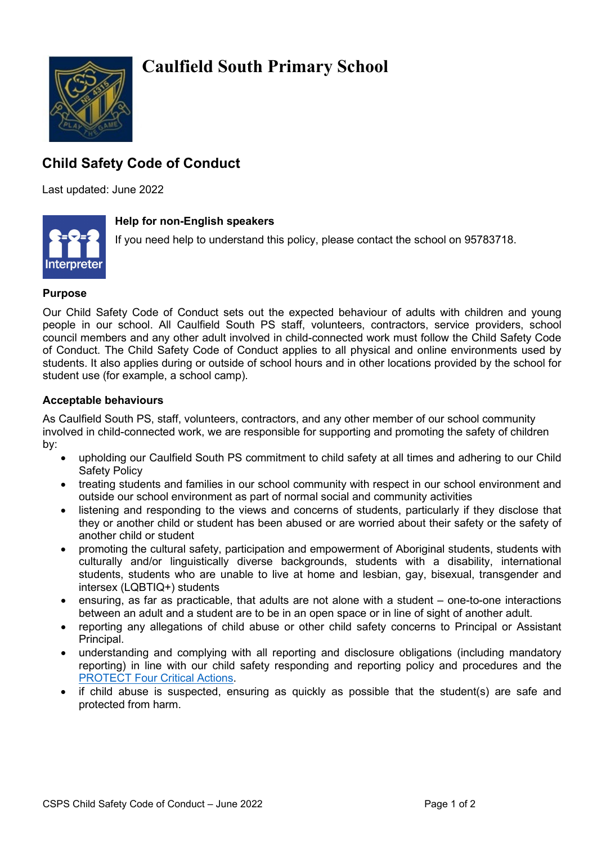# **Caulfield South Primary School**



## **Child Safety Code of Conduct**

Last updated: June 2022



### **Help for non-English speakers**

If you need help to understand this policy, please contact the school on 95783718.

#### **Purpose**

Our Child Safety Code of Conduct sets out the expected behaviour of adults with children and young people in our school. All Caulfield South PS staff, volunteers, contractors, service providers, school council members and any other adult involved in child-connected work must follow the Child Safety Code of Conduct. The Child Safety Code of Conduct applies to all physical and online environments used by students. It also applies during or outside of school hours and in other locations provided by the school for student use (for example, a school camp).

#### **Acceptable behaviours**

As Caulfield South PS, staff, volunteers, contractors, and any other member of our school community involved in child-connected work, we are responsible for supporting and promoting the safety of children by:

- upholding our Caulfield South PS commitment to child safety at all times and adhering to our Child Safety Policy
- treating students and families in our school community with respect in our school environment and outside our school environment as part of normal social and community activities
- listening and responding to the views and concerns of students, particularly if they disclose that they or another child or student has been abused or are worried about their safety or the safety of another child or student
- promoting the cultural safety, participation and empowerment of Aboriginal students, students with culturally and/or linguistically diverse backgrounds, students with a disability, international students, students who are unable to live at home and lesbian, gay, bisexual, transgender and intersex (LQBTIQ+) students
- ensuring, as far as practicable, that adults are not alone with a student one-to-one interactions between an adult and a student are to be in an open space or in line of sight of another adult.
- reporting any allegations of child abuse or other child safety concerns to Principal or Assistant Principal.
- understanding and complying with all reporting and disclosure obligations (including mandatory reporting) in line with our child safety responding and reporting policy and procedures and the [PROTECT Four Critical Actions.](https://www.education.vic.gov.au/Documents/about/programs/health/protect/FourCriticalActions_ChildAbuse.pdf)
- if child abuse is suspected, ensuring as quickly as possible that the student(s) are safe and protected from harm.